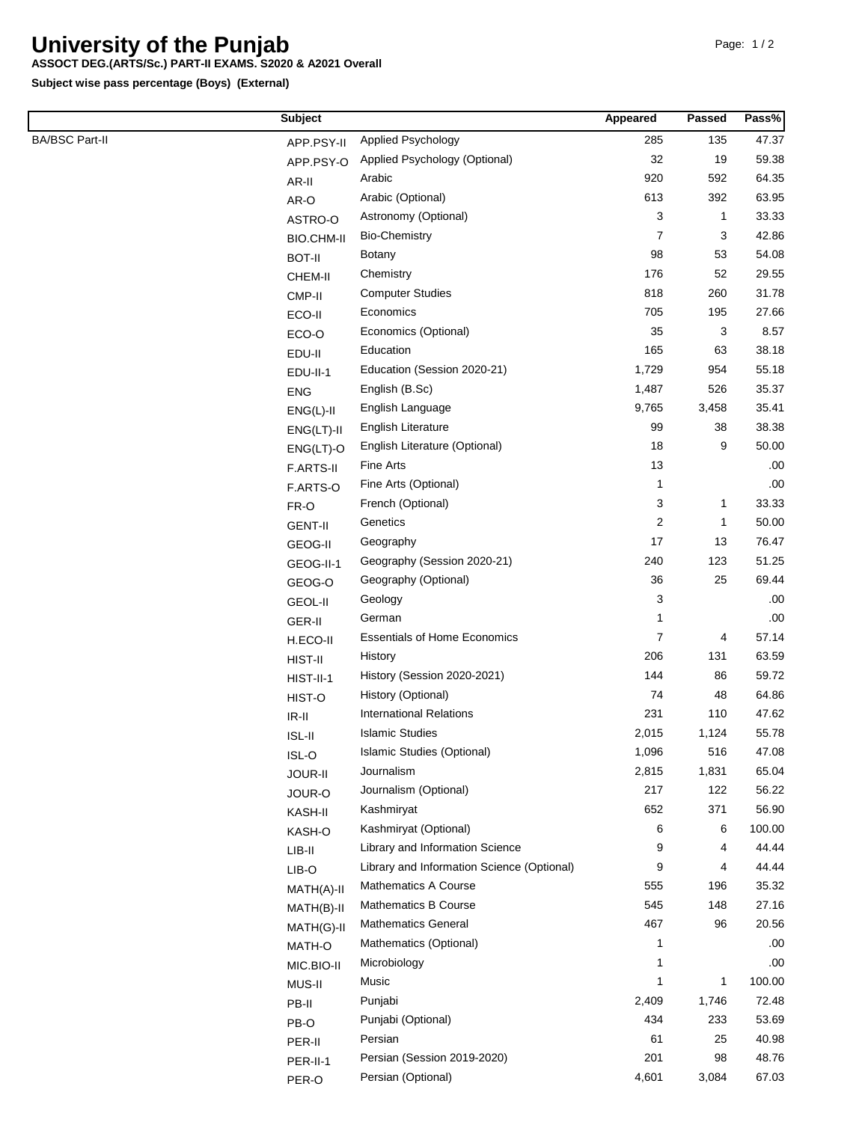## **University of the Punjab**

## **ASSOCT DEG.(ARTS/Sc.) PART-II EXAMS. S2020 & A2021 Overall**

**Subject wise pass percentage (Boys) (External)**

|                       | <b>Subject</b>    |                                            | Appeared       | <b>Passed</b> | Pass%  |
|-----------------------|-------------------|--------------------------------------------|----------------|---------------|--------|
| <b>BA/BSC Part-II</b> | APP.PSY-II        | Applied Psychology                         | 285            | 135           | 47.37  |
|                       | APP.PSY-O         | Applied Psychology (Optional)              | 32             | 19            | 59.38  |
|                       | AR-II             | Arabic                                     | 920            | 592           | 64.35  |
|                       | AR-O              | Arabic (Optional)                          | 613            | 392           | 63.95  |
|                       | ASTRO-O           | Astronomy (Optional)                       | 3              | $\mathbf{1}$  | 33.33  |
|                       | <b>BIO.CHM-II</b> | <b>Bio-Chemistry</b>                       | 7              | 3             | 42.86  |
|                       | <b>BOT-II</b>     | <b>Botany</b>                              | 98             | 53            | 54.08  |
|                       | CHEM-II           | Chemistry                                  | 176            | 52            | 29.55  |
|                       | CMP-II            | <b>Computer Studies</b>                    | 818            | 260           | 31.78  |
|                       | ECO-II            | Economics                                  | 705            | 195           | 27.66  |
|                       | ECO-O             | Economics (Optional)                       | 35             | 3             | 8.57   |
|                       | EDU-II            | Education                                  | 165            | 63            | 38.18  |
|                       | EDU-II-1          | Education (Session 2020-21)                | 1,729          | 954           | 55.18  |
|                       | <b>ENG</b>        | English (B.Sc)                             | 1,487          | 526           | 35.37  |
|                       | $ENG(L)-II$       | English Language                           | 9,765          | 3,458         | 35.41  |
|                       | $ENG(LT)-II$      | English Literature                         | 99             | 38            | 38.38  |
|                       | $ENG(LT)-O$       | English Literature (Optional)              | 18             | 9             | 50.00  |
|                       | <b>F.ARTS-II</b>  | Fine Arts                                  | 13             |               | .00.   |
|                       | F.ARTS-O          | Fine Arts (Optional)                       | $\mathbf{1}$   |               | .00    |
|                       | FR-O              | French (Optional)                          | 3              | $\mathbf{1}$  | 33.33  |
|                       | <b>GENT-II</b>    | Genetics                                   | $\overline{c}$ | 1             | 50.00  |
|                       | GEOG-II           | Geography                                  | 17             | 13            | 76.47  |
|                       | GEOG-II-1         | Geography (Session 2020-21)                | 240            | 123           | 51.25  |
|                       | GEOG-O            | Geography (Optional)                       | 36             | 25            | 69.44  |
|                       | <b>GEOL-II</b>    | Geology                                    | 3              |               | .00.   |
|                       | GER-II            | German                                     | 1              |               | .00    |
|                       | H.ECO-II          | <b>Essentials of Home Economics</b>        | 7              | 4             | 57.14  |
|                       | HIST-II           | History                                    | 206            | 131           | 63.59  |
|                       | $HIST-II-1$       | History (Session 2020-2021)                | 144            | 86            | 59.72  |
|                       | HIST-O            | History (Optional)                         | 74             | 48            | 64.86  |
|                       | $IR-II$           | <b>International Relations</b>             | 231            | 110           | 47.62  |
|                       | <b>ISL-II</b>     | <b>Islamic Studies</b>                     | 2,015          | 1,124         | 55.78  |
|                       | ISL-O             | Islamic Studies (Optional)                 | 1,096          | 516           | 47.08  |
|                       | JOUR-II           | Journalism                                 | 2,815          | 1,831         | 65.04  |
|                       | JOUR-O            | Journalism (Optional)                      | 217            | 122           | 56.22  |
|                       | KASH-II           | Kashmiryat                                 | 652            | 371           | 56.90  |
|                       | KASH-O            | Kashmiryat (Optional)                      | 6              | 6             | 100.00 |
|                       | $LIB-II$          | Library and Information Science            | 9              | 4             | 44.44  |
|                       | LIB-O             | Library and Information Science (Optional) | 9              | 4             | 44.44  |
|                       | MATH(A)-II        | <b>Mathematics A Course</b>                | 555            | 196           | 35.32  |
|                       | MATH(B)-II        | <b>Mathematics B Course</b>                | 545            | 148           | 27.16  |
|                       | MATH(G)-II        | <b>Mathematics General</b>                 | 467            | 96            | 20.56  |
|                       | MATH-O            | Mathematics (Optional)                     | -1             |               | .00    |
|                       | MIC.BIO-II        | Microbiology                               | -1             |               | .00.   |
|                       | MUS-II            | Music                                      | 1              | $\mathbf{1}$  | 100.00 |
|                       | PB-II             | Punjabi                                    | 2,409          | 1,746         | 72.48  |
|                       | PB-O              | Punjabi (Optional)                         | 434            | 233           | 53.69  |
|                       | PER-II            | Persian                                    | 61             | 25            | 40.98  |
|                       | PER-II-1          | Persian (Session 2019-2020)                | 201            | 98            | 48.76  |
|                       | PER-O             | Persian (Optional)                         | 4,601          | 3,084         | 67.03  |